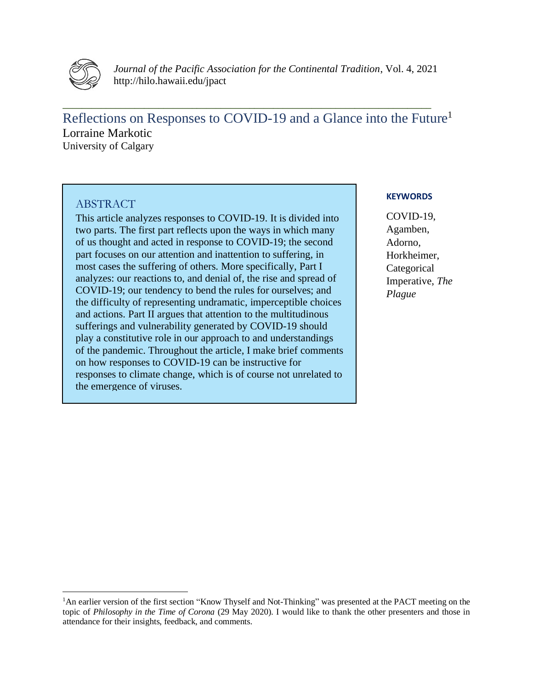

*Journal of the Pacific Association for the Continental Tradition*, Vol. 4, 2021 http://hilo.hawaii.edu/jpact

Reflections on Responses to COVID-19 and a Glance into the Future<sup>1</sup> Lorraine Markotic University of Calgary

**\_\_\_\_\_\_\_\_\_\_\_\_\_\_\_\_\_\_\_\_\_\_\_\_\_\_\_\_\_\_\_\_\_\_\_\_\_\_\_\_\_\_\_\_\_\_\_\_\_\_\_\_\_\_\_\_\_\_\_\_\_\_\_\_\_\_\_\_\_\_\_\_\_\_\_\_\_**

# ABSTRACT

This article analyzes responses to COVID-19. It is divided into two parts. The first part reflects upon the ways in which many of us thought and acted in response to COVID-19; the second part focuses on our attention and inattention to suffering, in most cases the suffering of others. More specifically, Part I analyzes: our reactions to, and denial of, the rise and spread of COVID-19; our tendency to bend the rules for ourselves; and the difficulty of representing undramatic, imperceptible choices and actions. Part II argues that attention to the multitudinous sufferings and vulnerability generated by COVID-19 should play a constitutive role in our approach to and understandings of the pandemic. Throughout the article, I make brief comments on how responses to COVID-19 can be instructive for responses to climate change, which is of course not unrelated to the emergence of viruses.

## **KEYWORDS**

COVID-19, Agamben, Adorno, Horkheimer, **Categorical** Imperative, *The Plague*

<sup>&</sup>lt;sup>1</sup>An earlier version of the first section "Know Thyself and Not-Thinking" was presented at the PACT meeting on the topic of *Philosophy in the Time of Corona* (29 May 2020). I would like to thank the other presenters and those in attendance for their insights, feedback, and comments.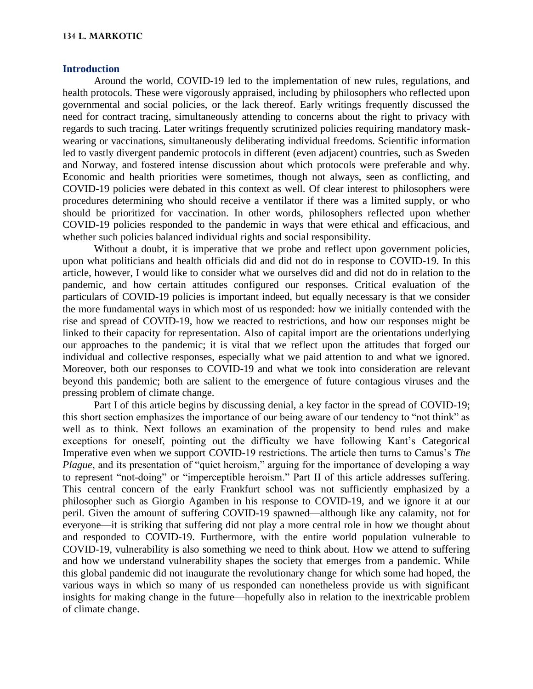#### **134 L. MARKOTIC**

#### **Introduction**

Around the world, COVID-19 led to the implementation of new rules, regulations, and health protocols. These were vigorously appraised, including by philosophers who reflected upon governmental and social policies, or the lack thereof. Early writings frequently discussed the need for contract tracing, simultaneously attending to concerns about the right to privacy with regards to such tracing. Later writings frequently scrutinized policies requiring mandatory maskwearing or vaccinations, simultaneously deliberating individual freedoms. Scientific information led to vastly divergent pandemic protocols in different (even adjacent) countries, such as Sweden and Norway, and fostered intense discussion about which protocols were preferable and why. Economic and health priorities were sometimes, though not always, seen as conflicting, and COVID-19 policies were debated in this context as well. Of clear interest to philosophers were procedures determining who should receive a ventilator if there was a limited supply, or who should be prioritized for vaccination. In other words, philosophers reflected upon whether COVID-19 policies responded to the pandemic in ways that were ethical and efficacious, and whether such policies balanced individual rights and social responsibility.

Without a doubt, it is imperative that we probe and reflect upon government policies, upon what politicians and health officials did and did not do in response to COVID-19. In this article, however, I would like to consider what we ourselves did and did not do in relation to the pandemic, and how certain attitudes configured our responses. Critical evaluation of the particulars of COVID-19 policies is important indeed, but equally necessary is that we consider the more fundamental ways in which most of us responded: how we initially contended with the rise and spread of COVID-19, how we reacted to restrictions, and how our responses might be linked to their capacity for representation. Also of capital import are the orientations underlying our approaches to the pandemic; it is vital that we reflect upon the attitudes that forged our individual and collective responses, especially what we paid attention to and what we ignored. Moreover, both our responses to COVID-19 and what we took into consideration are relevant beyond this pandemic; both are salient to the emergence of future contagious viruses and the pressing problem of climate change.

Part I of this article begins by discussing denial, a key factor in the spread of COVID-19; this short section emphasizes the importance of our being aware of our tendency to "not think" as well as to think. Next follows an examination of the propensity to bend rules and make exceptions for oneself, pointing out the difficulty we have following Kant's Categorical Imperative even when we support COVID-19 restrictions. The article then turns to Camus's *The Plague*, and its presentation of "quiet heroism," arguing for the importance of developing a way to represent "not-doing" or "imperceptible heroism." Part II of this article addresses suffering. This central concern of the early Frankfurt school was not sufficiently emphasized by a philosopher such as Giorgio Agamben in his response to COVID-19, and we ignore it at our peril. Given the amount of suffering COVID-19 spawned—although like any calamity, not for everyone—it is striking that suffering did not play a more central role in how we thought about and responded to COVID-19. Furthermore, with the entire world population vulnerable to COVID-19, vulnerability is also something we need to think about. How we attend to suffering and how we understand vulnerability shapes the society that emerges from a pandemic. While this global pandemic did not inaugurate the revolutionary change for which some had hoped, the various ways in which so many of us responded can nonetheless provide us with significant insights for making change in the future—hopefully also in relation to the inextricable problem of climate change.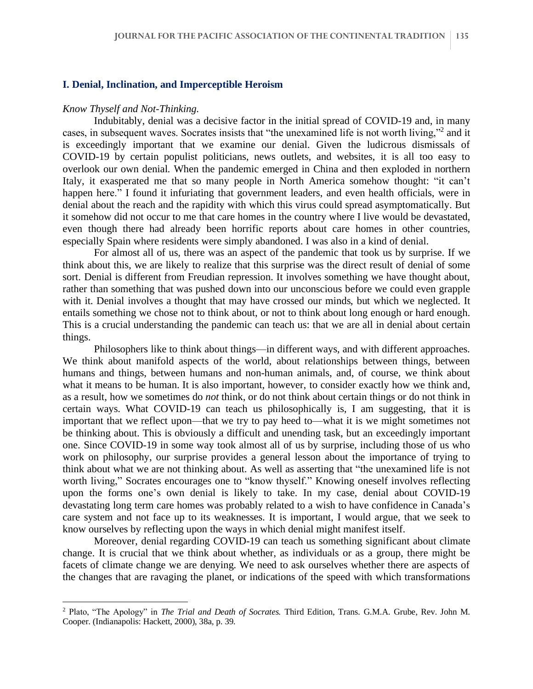#### **I. Denial, Inclination, and Imperceptible Heroism**

#### *Know Thyself and Not-Thinking.*

Indubitably, denial was a decisive factor in the initial spread of COVID-19 and, in many cases, in subsequent waves. Socrates insists that "the unexamined life is not worth living,"<sup>2</sup> and it is exceedingly important that we examine our denial. Given the ludicrous dismissals of COVID-19 by certain populist politicians, news outlets, and websites, it is all too easy to overlook our own denial. When the pandemic emerged in China and then exploded in northern Italy, it exasperated me that so many people in North America somehow thought: "it can't happen here." I found it infuriating that government leaders, and even health officials, were in denial about the reach and the rapidity with which this virus could spread asymptomatically. But it somehow did not occur to me that care homes in the country where I live would be devastated, even though there had already been horrific reports about care homes in other countries, especially Spain where residents were simply abandoned. I was also in a kind of denial.

For almost all of us, there was an aspect of the pandemic that took us by surprise. If we think about this, we are likely to realize that this surprise was the direct result of denial of some sort. Denial is different from Freudian repression. It involves something we have thought about, rather than something that was pushed down into our unconscious before we could even grapple with it. Denial involves a thought that may have crossed our minds, but which we neglected. It entails something we chose not to think about, or not to think about long enough or hard enough. This is a crucial understanding the pandemic can teach us: that we are all in denial about certain things.

Philosophers like to think about things—in different ways, and with different approaches. We think about manifold aspects of the world, about relationships between things, between humans and things, between humans and non-human animals, and, of course, we think about what it means to be human. It is also important, however, to consider exactly how we think and, as a result, how we sometimes do *not* think, or do not think about certain things or do not think in certain ways. What COVID-19 can teach us philosophically is, I am suggesting, that it is important that we reflect upon—that we try to pay heed to—what it is we might sometimes not be thinking about. This is obviously a difficult and unending task, but an exceedingly important one. Since COVID-19 in some way took almost all of us by surprise, including those of us who work on philosophy, our surprise provides a general lesson about the importance of trying to think about what we are not thinking about. As well as asserting that "the unexamined life is not worth living," Socrates encourages one to "know thyself." Knowing oneself involves reflecting upon the forms one's own denial is likely to take. In my case, denial about COVID-19 devastating long term care homes was probably related to a wish to have confidence in Canada's care system and not face up to its weaknesses. It is important, I would argue, that we seek to know ourselves by reflecting upon the ways in which denial might manifest itself.

Moreover, denial regarding COVID-19 can teach us something significant about climate change. It is crucial that we think about whether, as individuals or as a group, there might be facets of climate change we are denying. We need to ask ourselves whether there are aspects of the changes that are ravaging the planet, or indications of the speed with which transformations

<sup>2</sup> Plato, "The Apology" in *The Trial and Death of Socrates.* Third Edition, Trans. G.M.A. Grube, Rev. John M. Cooper. (Indianapolis: Hackett, 2000), 38a, p. 39.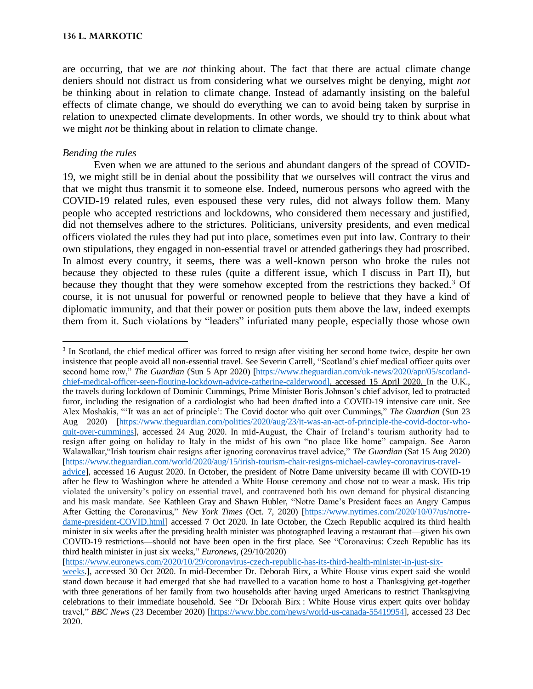are occurring, that we are *not* thinking about. The fact that there are actual climate change deniers should not distract us from considering what we ourselves might be denying, might *not* be thinking about in relation to climate change. Instead of adamantly insisting on the baleful effects of climate change, we should do everything we can to avoid being taken by surprise in relation to unexpected climate developments. In other words, we should try to think about what we might *not* be thinking about in relation to climate change.

# *Bending the rules*

Even when we are attuned to the serious and abundant dangers of the spread of COVID-19, we might still be in denial about the possibility that *we* ourselves will contract the virus and that we might thus transmit it to someone else. Indeed, numerous persons who agreed with the COVID-19 related rules, even espoused these very rules, did not always follow them. Many people who accepted restrictions and lockdowns, who considered them necessary and justified, did not themselves adhere to the strictures. Politicians, university presidents, and even medical officers violated the rules they had put into place, sometimes even put into law. Contrary to their own stipulations, they engaged in non-essential travel or attended gatherings they had proscribed. In almost every country, it seems, there was a well-known person who broke the rules not because they objected to these rules (quite a different issue, which I discuss in Part II), but because they thought that they were somehow excepted from the restrictions they backed.<sup>3</sup> Of course, it is not unusual for powerful or renowned people to believe that they have a kind of diplomatic immunity, and that their power or position puts them above the law, indeed exempts them from it. Such violations by "leaders" infuriated many people, especially those whose own

third health minister in just six weeks," *Euronews*, (29/10/2020) [\[https://www.euronews.com/2020/10/29/coronavirus-czech-republic-has-its-third-health-minister-in-just-six-](https://www.euronews.com/2020/10/29/coronavirus-czech-republic-has-its-third-health-minister-in-just-six-weeks)

COVID-19 restrictions—should not have been open in the first place. See "Coronavirus: Czech Republic has its

<sup>&</sup>lt;sup>3</sup> In Scotland, the chief medical officer was forced to resign after visiting her second home twice, despite her own insistence that people avoid all non-essential travel. See Severin Carrell, "Scotland's chief medical officer quits over second home row," *The Guardian* (Sun 5 Apr 2020) [\[https://www.theguardian.com/uk-news/2020/apr/05/scotland](https://www.theguardian.com/uk-news/2020/apr/05/scotland-chief-medical-officer-seen-flouting-lockdown-advice-catherine-calderwood)[chief-medical-officer-seen-flouting-lockdown-advice-catherine-calderwood\]](https://www.theguardian.com/uk-news/2020/apr/05/scotland-chief-medical-officer-seen-flouting-lockdown-advice-catherine-calderwood), accessed 15 April 2020. In the U.K., the travels during lockdown of Dominic Cummings, Prime Minister Boris Johnson's chief advisor, led to protracted furor, including the resignation of a cardiologist who had been drafted into a COVID-19 intensive care unit. See Alex Moshakis, "'It was an act of principle': The Covid doctor who quit over Cummings," *The Guardian* (Sun 23 Aug 2020) [\[https://www.theguardian.com/politics/2020/aug/23/it-was-an-act-of-principle-the-covid-doctor-who](https://www.theguardian.com/politics/2020/aug/23/it-was-an-act-of-principle-the-covid-doctor-who-quit-over-cummings)[quit-over-cummings\]](https://www.theguardian.com/politics/2020/aug/23/it-was-an-act-of-principle-the-covid-doctor-who-quit-over-cummings), accessed 24 Aug 2020. In mid-August, the Chair of Ireland's tourism authority had to resign after going on holiday to Italy in the midst of his own "no place like home" campaign. See Aaron Walawalkar,"Irish tourism chair resigns after ignoring coronavirus travel advice," *The Guardian* (Sat 15 Aug 2020) [\[https://www.theguardian.com/world/2020/aug/15/irish-tourism-chair-resigns-michael-cawley-coronavirus-travel](https://www.theguardian.com/world/2020/aug/15/irish-tourism-chair-resigns-michael-cawley-coronavirus-travel-advice)[advice\]](https://www.theguardian.com/world/2020/aug/15/irish-tourism-chair-resigns-michael-cawley-coronavirus-travel-advice), accessed 16 August 2020. In October, the president of Notre Dame university became ill with COVID-19 after he flew to Washington where he attended a White House ceremony and chose not to wear a mask. His trip violated the university's policy on essential travel, and contravened both his own demand for physical distancing and his mask mandate. See Kathleen Gray and Shawn Hubler, "Notre Dame's President faces an Angry Campus After Getting the Coronavirus," *New York Times* (Oct. 7, 2020) [\[https://www.nytimes.com/2020/10/07/us/notre](https://www.nytimes.com/2020/10/07/us/notre-dame-president-covid.html)[dame-president-COVID.html\]](https://www.nytimes.com/2020/10/07/us/notre-dame-president-covid.html) accessed 7 Oct 2020. In late October, the Czech Republic acquired its third health minister in six weeks after the presiding health minister was photographed leaving a restaurant that—given his own

[weeks.](https://www.euronews.com/2020/10/29/coronavirus-czech-republic-has-its-third-health-minister-in-just-six-weeks)], accessed 30 Oct 2020. In mid-December Dr. Deborah Birx, a White House virus expert said she would stand down because it had emerged that she had travelled to a vacation home to host a Thanksgiving get-together with three generations of her family from two households after having urged Americans to restrict Thanksgiving celebrations to their immediate household. See "Dr Deborah Birx : White House virus expert quits over holiday travel," *BBC News* (23 December 2020) [\[https://www.bbc.com/news/world-us-canada-55419954\]](https://www.bbc.com/news/world-us-canada-55419954), accessed 23 Dec 2020.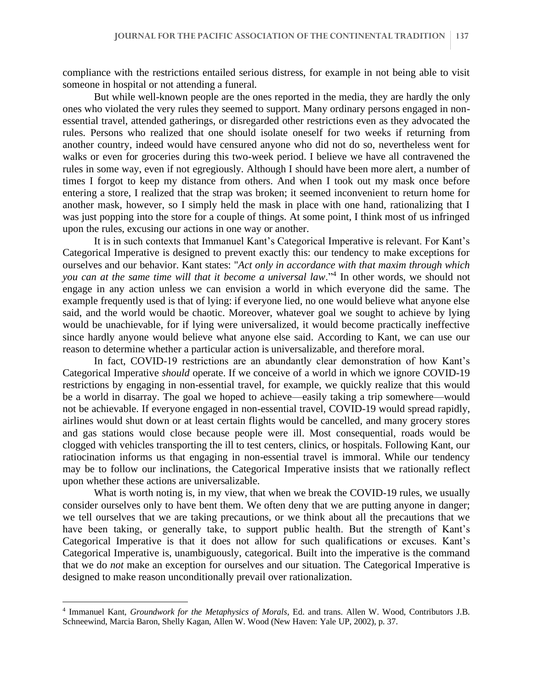compliance with the restrictions entailed serious distress, for example in not being able to visit someone in hospital or not attending a funeral.

But while well-known people are the ones reported in the media, they are hardly the only ones who violated the very rules they seemed to support. Many ordinary persons engaged in nonessential travel, attended gatherings, or disregarded other restrictions even as they advocated the rules. Persons who realized that one should isolate oneself for two weeks if returning from another country, indeed would have censured anyone who did not do so, nevertheless went for walks or even for groceries during this two-week period. I believe we have all contravened the rules in some way, even if not egregiously. Although I should have been more alert, a number of times I forgot to keep my distance from others. And when I took out my mask once before entering a store, I realized that the strap was broken; it seemed inconvenient to return home for another mask, however, so I simply held the mask in place with one hand, rationalizing that I was just popping into the store for a couple of things. At some point, I think most of us infringed upon the rules, excusing our actions in one way or another.

It is in such contexts that Immanuel Kant's Categorical Imperative is relevant. For Kant's Categorical Imperative is designed to prevent exactly this: our tendency to make exceptions for ourselves and our behavior. Kant states: "*Act only in accordance with that maxim through which you can at the same time will that it become a universal law*."<sup>4</sup> In other words, we should not engage in any action unless we can envision a world in which everyone did the same. The example frequently used is that of lying: if everyone lied, no one would believe what anyone else said, and the world would be chaotic. Moreover, whatever goal we sought to achieve by lying would be unachievable, for if lying were universalized, it would become practically ineffective since hardly anyone would believe what anyone else said. According to Kant, we can use our reason to determine whether a particular action is universalizable, and therefore moral.

In fact, COVID-19 restrictions are an abundantly clear demonstration of how Kant's Categorical Imperative *should* operate. If we conceive of a world in which we ignore COVID-19 restrictions by engaging in non-essential travel, for example, we quickly realize that this would be a world in disarray. The goal we hoped to achieve—easily taking a trip somewhere—would not be achievable. If everyone engaged in non-essential travel, COVID-19 would spread rapidly, airlines would shut down or at least certain flights would be cancelled, and many grocery stores and gas stations would close because people were ill. Most consequential, roads would be clogged with vehicles transporting the ill to test centers, clinics, or hospitals. Following Kant, our ratiocination informs us that engaging in non-essential travel is immoral. While our tendency may be to follow our inclinations, the Categorical Imperative insists that we rationally reflect upon whether these actions are universalizable.

What is worth noting is, in my view, that when we break the COVID-19 rules, we usually consider ourselves only to have bent them. We often deny that we are putting anyone in danger; we tell ourselves that we are taking precautions, or we think about all the precautions that we have been taking, or generally take, to support public health. But the strength of Kant's Categorical Imperative is that it does not allow for such qualifications or excuses. Kant's Categorical Imperative is, unambiguously, categorical. Built into the imperative is the command that we do *not* make an exception for ourselves and our situation. The Categorical Imperative is designed to make reason unconditionally prevail over rationalization.

<sup>4</sup> Immanuel Kant, *Groundwork for the Metaphysics of Morals*, Ed. and trans. Allen W. Wood, Contributors J.B. Schneewind, Marcia Baron, Shelly Kagan, Allen W. Wood (New Haven: Yale UP, 2002), p. 37.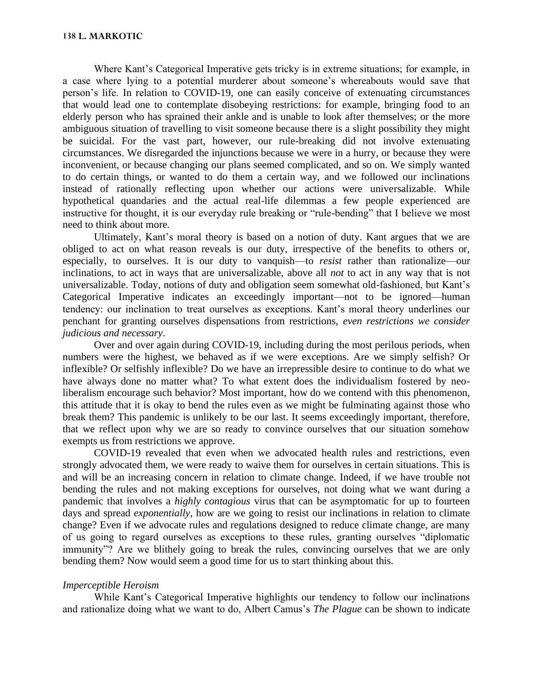Where Kant's Categorical Imperative gets tricky is in extreme situations; for example, in a case where lying to a potential murderer about someone's whereabouts would save that person's life. In relation to COVID-19, one can easily conceive of extenuating circumstances that would lead one to contemplate disobeying restrictions: for example, bringing food to an elderly person who has sprained their ankle and is unable to look after themselves; or the more ambiguous situation of travelling to visit someone because there is a slight possibility they might be suicidal. For the vast part, however, our rule-breaking did not involve extenuating circumstances. We disregarded the injunctions because we were in a hurry, or because they were inconvenient, or because changing our plans seemed complicated, and so on. We simply wanted to do certain things, or wanted to do them a certain way, and we followed our inclinations instead of rationally reflecting upon whether our actions were universalizable. While hypothetical quandaries and the actual real-life dilemmas a few people experienced are instructive for thought, it is our everyday rule breaking or "rule-bending" that I believe we most need to think about more.

Ultimately, Kant's moral theory is based on a notion of duty. Kant argues that we are obliged to act on what reason reveals is our duty, irrespective of the benefits to others or, especially, to ourselves. It is our duty to vanquish—to *resist* rather than rationalize—our inclinations, to act in ways that are universalizable, above all *not* to act in any way that is not universalizable. Today, notions of duty and obligation seem somewhat old-fashioned, but Kant's Categorical Imperative indicates an exceedingly important—not to be ignored—human tendency: our inclination to treat ourselves as exceptions. Kant's moral theory underlines our penchant for granting ourselves dispensations from restrictions, *even restrictions we consider judicious and necessary*.

Over and over again during COVID-19, including during the most perilous periods, when numbers were the highest, we behaved as if we were exceptions. Are we simply selfish? Or inflexible? Or selfishly inflexible? Do we have an irrepressible desire to continue to do what we have always done no matter what? To what extent does the individualism fostered by neoliberalism encourage such behavior? Most important, how do we contend with this phenomenon, this attitude that it is okay to bend the rules even as we might be fulminating against those who break them? This pandemic is unlikely to be our last. It seems exceedingly important, therefore, that we reflect upon why we are so ready to convince ourselves that our situation somehow exempts us from restrictions we approve.

COVID-19 revealed that even when we advocated health rules and restrictions, even strongly advocated them, we were ready to waive them for ourselves in certain situations. This is and will be an increasing concern in relation to climate change. Indeed, if we have trouble not bending the rules and not making exceptions for ourselves, not doing what we want during a pandemic that involves a *highly contagious* virus that can be asymptomatic for up to fourteen days and spread *exponentially*, how are we going to resist our inclinations in relation to climate change? Even if we advocate rules and regulations designed to reduce climate change, are many of us going to regard ourselves as exceptions to these rules, granting ourselves "diplomatic immunity"? Are we blithely going to break the rules, convincing ourselves that we are only bending them? Now would seem a good time for us to start thinking about this.

## *Imperceptible Heroism*

While Kant's Categorical Imperative highlights our tendency to follow our inclinations and rationalize doing what we want to do, Albert Camus's *The Plague* can be shown to indicate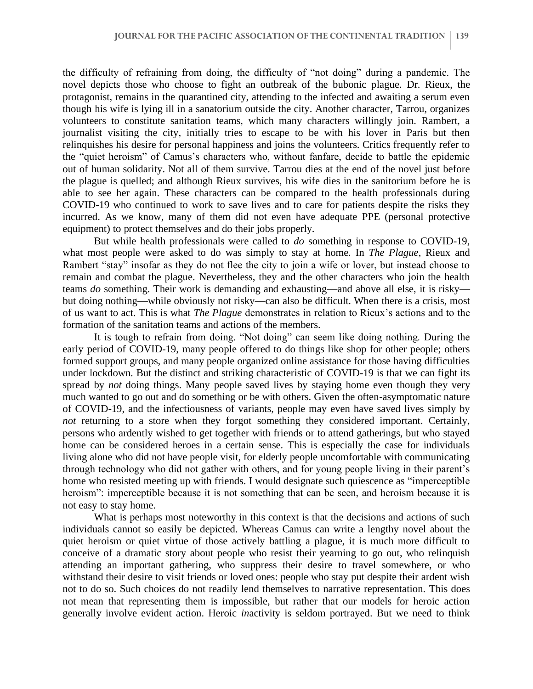the difficulty of refraining from doing, the difficulty of "not doing" during a pandemic. The novel depicts those who choose to fight an outbreak of the bubonic plague. Dr. Rieux, the protagonist, remains in the quarantined city, attending to the infected and awaiting a serum even though his wife is lying ill in a sanatorium outside the city. Another character, Tarrou, organizes volunteers to constitute sanitation teams, which many characters willingly join. Rambert, a journalist visiting the city, initially tries to escape to be with his lover in Paris but then relinquishes his desire for personal happiness and joins the volunteers. Critics frequently refer to the "quiet heroism" of Camus's characters who, without fanfare, decide to battle the epidemic out of human solidarity. Not all of them survive. Tarrou dies at the end of the novel just before the plague is quelled; and although Rieux survives, his wife dies in the sanitorium before he is able to see her again. These characters can be compared to the health professionals during COVID-19 who continued to work to save lives and to care for patients despite the risks they incurred. As we know, many of them did not even have adequate PPE (personal protective equipment) to protect themselves and do their jobs properly.

But while health professionals were called to *do* something in response to COVID-19, what most people were asked to do was simply to stay at home. In *The Plague*, Rieux and Rambert "stay" insofar as they do not flee the city to join a wife or lover, but instead choose to remain and combat the plague. Nevertheless, they and the other characters who join the health teams *do* something. Their work is demanding and exhausting—and above all else, it is risky but doing nothing—while obviously not risky—can also be difficult. When there is a crisis, most of us want to act. This is what *The Plague* demonstrates in relation to Rieux's actions and to the formation of the sanitation teams and actions of the members.

It is tough to refrain from doing. "Not doing" can seem like doing nothing. During the early period of COVID-19, many people offered to do things like shop for other people; others formed support groups, and many people organized online assistance for those having difficulties under lockdown. But the distinct and striking characteristic of COVID-19 is that we can fight its spread by *not* doing things. Many people saved lives by staying home even though they very much wanted to go out and do something or be with others. Given the often-asymptomatic nature of COVID-19, and the infectiousness of variants, people may even have saved lives simply by *not* returning to a store when they forgot something they considered important. Certainly, persons who ardently wished to get together with friends or to attend gatherings, but who stayed home can be considered heroes in a certain sense. This is especially the case for individuals living alone who did not have people visit, for elderly people uncomfortable with communicating through technology who did not gather with others, and for young people living in their parent's home who resisted meeting up with friends. I would designate such quiescence as "imperceptible heroism": imperceptible because it is not something that can be seen, and heroism because it is not easy to stay home.

What is perhaps most noteworthy in this context is that the decisions and actions of such individuals cannot so easily be depicted. Whereas Camus can write a lengthy novel about the quiet heroism or quiet virtue of those actively battling a plague, it is much more difficult to conceive of a dramatic story about people who resist their yearning to go out, who relinquish attending an important gathering, who suppress their desire to travel somewhere, or who withstand their desire to visit friends or loved ones: people who stay put despite their ardent wish not to do so. Such choices do not readily lend themselves to narrative representation. This does not mean that representing them is impossible, but rather that our models for heroic action generally involve evident action. Heroic *in*activity is seldom portrayed. But we need to think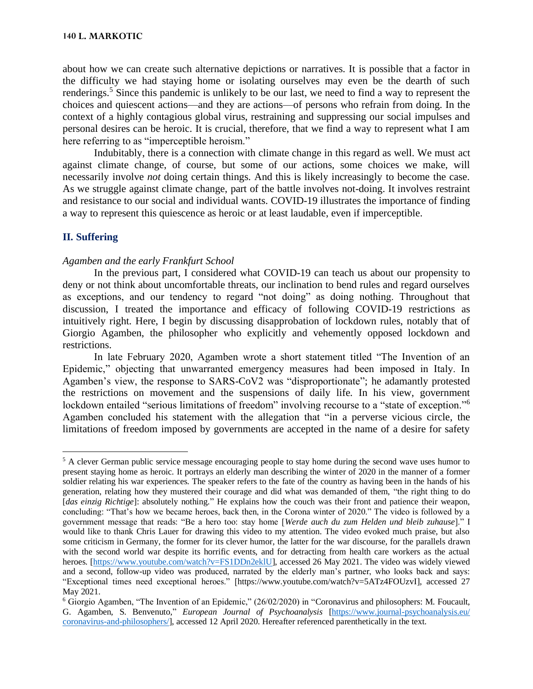about how we can create such alternative depictions or narratives. It is possible that a factor in the difficulty we had staying home or isolating ourselves may even be the dearth of such renderings.<sup>5</sup> Since this pandemic is unlikely to be our last, we need to find a way to represent the choices and quiescent actions—and they are actions—of persons who refrain from doing. In the context of a highly contagious global virus, restraining and suppressing our social impulses and personal desires can be heroic. It is crucial, therefore, that we find a way to represent what I am here referring to as "imperceptible heroism."

Indubitably, there is a connection with climate change in this regard as well. We must act against climate change, of course, but some of our actions, some choices we make, will necessarily involve *not* doing certain things. And this is likely increasingly to become the case. As we struggle against climate change, part of the battle involves not-doing. It involves restraint and resistance to our social and individual wants. COVID-19 illustrates the importance of finding a way to represent this quiescence as heroic or at least laudable, even if imperceptible.

## **II. Suffering**

### *Agamben and the early Frankfurt School*

In the previous part, I considered what COVID-19 can teach us about our propensity to deny or not think about uncomfortable threats, our inclination to bend rules and regard ourselves as exceptions, and our tendency to regard "not doing" as doing nothing. Throughout that discussion, I treated the importance and efficacy of following COVID-19 restrictions as intuitively right. Here, I begin by discussing disapprobation of lockdown rules, notably that of Giorgio Agamben, the philosopher who explicitly and vehemently opposed lockdown and restrictions.

In late February 2020, Agamben wrote a short statement titled "The Invention of an Epidemic," objecting that unwarranted emergency measures had been imposed in Italy. In Agamben's view, the response to SARS-CoV2 was "disproportionate"; he adamantly protested the restrictions on movement and the suspensions of daily life. In his view, government lockdown entailed "serious limitations of freedom" involving recourse to a "state of exception."<sup>6</sup> Agamben concluded his statement with the allegation that "in a perverse vicious circle, the limitations of freedom imposed by governments are accepted in the name of a desire for safety

<sup>&</sup>lt;sup>5</sup> A clever German public service message encouraging people to stay home during the second wave uses humor to present staying home as heroic. It portrays an elderly man describing the winter of 2020 in the manner of a former soldier relating his war experiences. The speaker refers to the fate of the country as having been in the hands of his generation, relating how they mustered their courage and did what was demanded of them, "the right thing to do [*das einzig Richtige*]: absolutely nothing." He explains how the couch was their front and patience their weapon, concluding: "That's how we became heroes, back then, in the Corona winter of 2020." The video is followed by a government message that reads: "Be a hero too: stay home [*Werde auch du zum Helden und bleib zuhause*]." I would like to thank Chris Lauer for drawing this video to my attention. The video evoked much praise, but also some criticism in Germany, the former for its clever humor, the latter for the war discourse, for the parallels drawn with the second world war despite its horrific events, and for detracting from health care workers as the actual heroes. [\[https://www.youtube.com/watch?v=FS1DDn2eklU\]](https://www.youtube.com/watch?v=FS1DDn2eklU), accessed 26 May 2021. The video was widely viewed and a second, follow-up video was produced, narrated by the elderly man's partner, who looks back and says: "Exceptional times need exceptional heroes." [https://www.youtube.com/watch?v=5ATz4FOUzvI], accessed 27 May 2021.

<sup>6</sup> Giorgio Agamben, "The Invention of an Epidemic," (26/02/2020) in "Coronavirus and philosophers: M. Foucault, G. Agamben, S. Benvenuto," *European Journal of Psychoanalysis* [\[https://www.journal-psychoanalysis.eu/](https://www.journal-psychoanalysis.eu/%20coronavirus-and-philosophers/)  [coronavirus-and-philosophers/\]](https://www.journal-psychoanalysis.eu/%20coronavirus-and-philosophers/), accessed 12 April 2020. Hereafter referenced parenthetically in the text.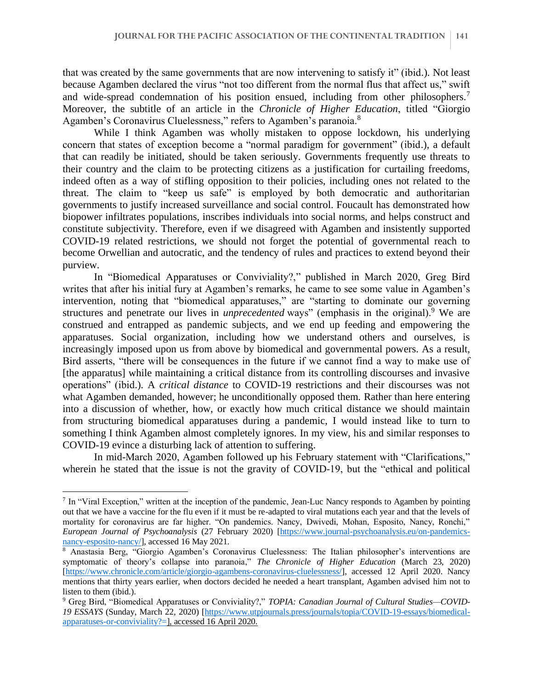that was created by the same governments that are now intervening to satisfy it" (ibid.). Not least because Agamben declared the virus "not too different from the normal flus that affect us," swift and wide-spread condemnation of his position ensued, including from other philosophers.<sup>7</sup> Moreover, the subtitle of an article in the *Chronicle of Higher Education*, titled "Giorgio Agamben's Coronavirus Cluelessness," refers to Agamben's paranoia.<sup>8</sup>

While I think Agamben was wholly mistaken to oppose lockdown, his underlying concern that states of exception become a "normal paradigm for government" (ibid.), a default that can readily be initiated, should be taken seriously. Governments frequently use threats to their country and the claim to be protecting citizens as a justification for curtailing freedoms, indeed often as a way of stifling opposition to their policies, including ones not related to the threat. The claim to "keep us safe" is employed by both democratic and authoritarian governments to justify increased surveillance and social control. Foucault has demonstrated how biopower infiltrates populations, inscribes individuals into social norms, and helps construct and constitute subjectivity. Therefore, even if we disagreed with Agamben and insistently supported COVID-19 related restrictions, we should not forget the potential of governmental reach to become Orwellian and autocratic, and the tendency of rules and practices to extend beyond their purview.

In "Biomedical Apparatuses or Conviviality?," published in March 2020, Greg Bird writes that after his initial fury at Agamben's remarks, he came to see some value in Agamben's intervention, noting that "biomedical apparatuses," are "starting to dominate our governing structures and penetrate our lives in *unprecedented* ways" (emphasis in the original).<sup>9</sup> We are construed and entrapped as pandemic subjects, and we end up feeding and empowering the apparatuses. Social organization, including how we understand others and ourselves, is increasingly imposed upon us from above by biomedical and governmental powers. As a result, Bird asserts, "there will be consequences in the future if we cannot find a way to make use of [the apparatus] while maintaining a critical distance from its controlling discourses and invasive operations" (ibid.). A *critical distance* to COVID-19 restrictions and their discourses was not what Agamben demanded, however; he unconditionally opposed them. Rather than here entering into a discussion of whether, how, or exactly how much critical distance we should maintain from structuring biomedical apparatuses during a pandemic, I would instead like to turn to something I think Agamben almost completely ignores. In my view, his and similar responses to COVID-19 evince a disturbing lack of attention to suffering.

In mid-March 2020, Agamben followed up his February statement with "Clarifications," wherein he stated that the issue is not the gravity of COVID-19, but the "ethical and political

<sup>&</sup>lt;sup>7</sup> In "Viral Exception," written at the inception of the pandemic, Jean-Luc Nancy responds to Agamben by pointing out that we have a vaccine for the flu even if it must be re-adapted to viral mutations each year and that the levels of mortality for coronavirus are far higher. "On pandemics. Nancy, Dwivedi, Mohan, Esposito, Nancy, Ronchi," *European Journal of Psychoanalysis* (27 February 2020) [\[https://www.journal-psychoanalysis.eu/on-pandemics](https://www.journal-psychoanalysis.eu/on-pandemics-nancy-esposito-nancy/)[nancy-esposito-nancy/\]](https://www.journal-psychoanalysis.eu/on-pandemics-nancy-esposito-nancy/), accessed 16 May 2021.

<sup>8</sup> Anastasia Berg, "Giorgio Agamben's Coronavirus Cluelessness: The Italian philosopher's interventions are symptomatic of theory's collapse into paranoia," *The Chronicle of Higher Education* (March 23, 2020) [\[https://www.chronicle.com/article/giorgio-agambens-coronavirus-cluelessness/\]](https://www.chronicle.com/article/giorgio-agambens-coronavirus-cluelessness/), accessed 12 April 2020. Nancy mentions that thirty years earlier, when doctors decided he needed a heart transplant, Agamben advised him not to listen to them (ibid.).

<sup>9</sup> Greg Bird, "Biomedical Apparatuses or Conviviality?," *TOPIA: Canadian Journal of Cultural Studies—COVID-19 ESSAYS* (Sunday, March 22, 2020) [\[https://www.utpjournals.press/journals/topia/COVID-19-essays/biomedical](https://www.utpjournals.press/journals/topia/Covid-19-essays/biomedical-apparatuses-or-conviviality?=)[apparatuses-or-conviviality?=\]](https://www.utpjournals.press/journals/topia/Covid-19-essays/biomedical-apparatuses-or-conviviality?=), accessed 16 April 2020.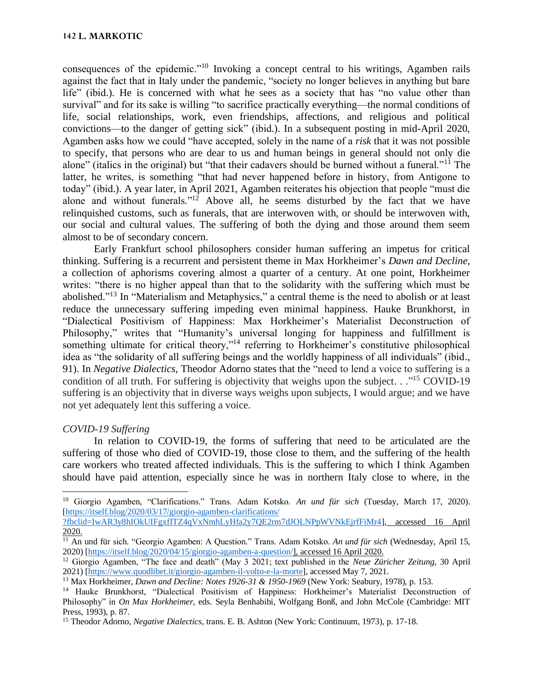consequences of the epidemic."<sup>10</sup> Invoking a concept central to his writings, Agamben rails against the fact that in Italy under the pandemic, "society no longer believes in anything but bare life" (ibid.). He is concerned with what he sees as a society that has "no value other than survival" and for its sake is willing "to sacrifice practically everything—the normal conditions of life, social relationships, work, even friendships, affections, and religious and political convictions—to the danger of getting sick" (ibid.). In a subsequent posting in mid-April 2020, Agamben asks how we could "have accepted, solely in the name of a *risk* that it was not possible to specify, that persons who are dear to us and human beings in general should not only die alone" (italics in the original) but "that their cadavers should be burned without a funeral."<sup>11</sup> The latter, he writes, is something "that had never happened before in history, from Antigone to today" (ibid.). A year later, in April 2021, Agamben reiterates his objection that people "must die alone and without funerals."<sup>12</sup> Above all, he seems disturbed by the fact that we have relinquished customs, such as funerals, that are interwoven with, or should be interwoven with, our social and cultural values. The suffering of both the dying and those around them seem almost to be of secondary concern.

Early Frankfurt school philosophers consider human suffering an impetus for critical thinking. Suffering is a recurrent and persistent theme in Max Horkheimer's *Dawn and Decline*, a collection of aphorisms covering almost a quarter of a century. At one point, Horkheimer writes: "there is no higher appeal than that to the solidarity with the suffering which must be abolished."<sup>13</sup> In "Materialism and Metaphysics," a central theme is the need to abolish or at least reduce the unnecessary suffering impeding even minimal happiness. Hauke Brunkhorst, in "Dialectical Positivism of Happiness: Max Horkheimer's Materialist Deconstruction of Philosophy," writes that "Humanity's universal longing for happiness and fulfillment is something ultimate for critical theory,"<sup>14</sup> referring to Horkheimer's constitutive philosophical idea as "the solidarity of all suffering beings and the worldly happiness of all individuals" (ibid., 91). In *Negative Dialectics*, Theodor Adorno states that the "need to lend a voice to suffering is a condition of all truth. For suffering is objectivity that weighs upon the subject. . ."<sup>15</sup> COVID-19 suffering is an objectivity that in diverse ways weighs upon subjects, I would argue; and we have not yet adequately lent this suffering a voice.

# *COVID-19 Suffering*

In relation to COVID-19, the forms of suffering that need to be articulated are the suffering of those who died of COVID-19, those close to them, and the suffering of the health care workers who treated affected individuals. This is the suffering to which I think Agamben should have paid attention, especially since he was in northern Italy close to where, in the

<sup>10</sup> Giorgio Agamben, "Clarifications." Trans. Adam Kotsko. *An und für sich* (Tuesday, March 17, 2020). [\[https://itself.blog/2020/03/17/giorgio-agamben-clarifications/](https://itself.blog/2020/03/17/giorgio-agamben-clarifications/%20?fbclid=IwAR3y8hIOkUIFgxfITZ4qVxNmhLyHfa2y7QE2rm7dJOLNPpWVNkEjrfFiMr4) 

[<sup>?</sup>fbclid=IwAR3y8hIOkUIFgxfITZ4qVxNmhLyHfa2y7QE2rm7dJOLNPpWVNkEjrfFiMr4\]](https://itself.blog/2020/03/17/giorgio-agamben-clarifications/%20?fbclid=IwAR3y8hIOkUIFgxfITZ4qVxNmhLyHfa2y7QE2rm7dJOLNPpWVNkEjrfFiMr4), accessed 16 April 2020.

<sup>&</sup>lt;sup>11</sup> An und für sich. "Georgio Agamben: A Question." Trans. Adam Kotsko. *An und für sich* (Wednesday, April 15, 2020) [\[https://itself.blog/2020/04/15/giorgio-agamben-a-question/\]](https://itself.blog/2020/04/15/giorgio-agamben-a-question/), accessed 16 April 2020.

<sup>12</sup> Giorgio Agamben, "The face and death" (May 3 2021; text published in the *Neue Züricher Zeitung*, 30 April 2021) [\[https://www.quodlibet.it/giorgio-agamben-il-volto-e-la-morte\]](https://www.quodlibet.it/giorgio-agamben-il-volto-e-la-morte), accessed May 7, 2021.

<sup>13</sup> Max Horkheimer, *Dawn and Decline: Notes 1926-31 & 1950-1969* (New York: Seabury, 1978), p. 153.

<sup>&</sup>lt;sup>14</sup> Hauke Brunkhorst, "Dialectical Positivism of Happiness: Horkheimer's Materialist Deconstruction of Philosophy" in *On Max Horkheimer*, eds. Seyla Benhabibi, Wolfgang Bonß, and John McCole (Cambridge: MIT Press, 1993), p. 87.

<sup>15</sup> Theodor Adorno, *Negative Dialectics*, trans. E. B. Ashton (New York: Continuum, 1973), p. 17-18.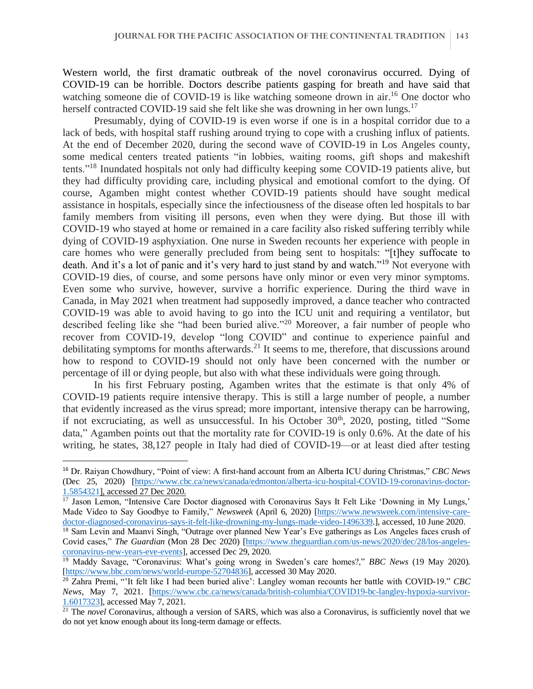Western world, the first dramatic outbreak of the novel coronavirus occurred. Dying of COVID-19 can be horrible. Doctors describe patients gasping for breath and have said that watching someone die of COVID-19 is like watching someone drown in air.<sup>16</sup> One doctor who herself contracted COVID-19 said she felt like she was drowning in her own lungs.<sup>17</sup>

Presumably, dying of COVID-19 is even worse if one is in a hospital corridor due to a lack of beds, with hospital staff rushing around trying to cope with a crushing influx of patients. At the end of December 2020, during the second wave of COVID-19 in Los Angeles county, some medical centers treated patients "in lobbies, waiting rooms, gift shops and makeshift tents."<sup>18</sup> Inundated hospitals not only had difficulty keeping some COVID-19 patients alive, but they had difficulty providing care, including physical and emotional comfort to the dying. Of course, Agamben might contest whether COVID-19 patients should have sought medical assistance in hospitals, especially since the infectiousness of the disease often led hospitals to bar family members from visiting ill persons, even when they were dying. But those ill with COVID-19 who stayed at home or remained in a care facility also risked suffering terribly while dying of COVID-19 asphyxiation. One nurse in Sweden recounts her experience with people in care homes who were generally precluded from being sent to hospitals: "[t]hey suffocate to death. And it's a lot of panic and it's very hard to just stand by and watch."<sup>19</sup> Not everyone with COVID-19 dies, of course, and some persons have only minor or even very minor symptoms. Even some who survive, however, survive a horrific experience. During the third wave in Canada, in May 2021 when treatment had supposedly improved, a dance teacher who contracted COVID-19 was able to avoid having to go into the ICU unit and requiring a ventilator, but described feeling like she "had been buried alive."<sup>20</sup> Moreover, a fair number of people who recover from COVID-19, develop "long COVID" and continue to experience painful and debilitating symptoms for months afterwards.<sup>21</sup> It seems to me, therefore, that discussions around how to respond to COVID-19 should not only have been concerned with the number or percentage of ill or dying people, but also with what these individuals were going through.

In his first February posting, Agamben writes that the estimate is that only 4% of COVID-19 patients require intensive therapy. This is still a large number of people, a number that evidently increased as the virus spread; more important, intensive therapy can be harrowing, if not excruciating, as well as unsuccessful. In his October  $30<sup>th</sup>$ ,  $2020$ , posting, titled "Some data," Agamben points out that the mortality rate for COVID-19 is only 0.6%. At the date of his writing, he states, 38,127 people in Italy had died of COVID-19—or at least died after testing

<sup>16</sup> Dr. Raiyan Chowdhury, "Point of view: A first-hand account from an Alberta ICU during Christmas," *CBC News* (Dec 25, 2020) [\[https://www.cbc.ca/news/canada/edmonton/alberta-icu-hospital-COVID-19-coronavirus-doctor-](https://www.cbc.ca/news/canada/edmonton/alberta-icu-hospital-covid-19-coronavirus-doctor-1.5854321)[1.5854321\]](https://www.cbc.ca/news/canada/edmonton/alberta-icu-hospital-covid-19-coronavirus-doctor-1.5854321), accessed 27 Dec 2020.

<sup>&</sup>lt;sup>17</sup> Jason Lemon, "Intensive Care Doctor diagnosed with Coronavirus Says It Felt Like 'Downing in My Lungs,' Made Video to Say Goodbye to Family," *Newsweek* (April 6, 2020) [\[https://www.newsweek.com/intensive-care](https://www.newsweek.com/intensive-care-doctor-diagnosed-coronavirus-says-it-felt-like-drowning-my-lungs-made-video-1496339)[doctor-diagnosed-coronavirus-says-it-felt-like-drowning-my-lungs-made-video-1496339.](https://www.newsweek.com/intensive-care-doctor-diagnosed-coronavirus-says-it-felt-like-drowning-my-lungs-made-video-1496339)], accessed, 10 June 2020.

<sup>&</sup>lt;sup>18</sup> Sam Levin and Maanvi Singh, "Outrage over planned New Year's Eve gatherings as Los Angeles faces crush of Covid cases," *The Guardian* (Mon 28 Dec 2020) [\[https://www.theguardian.com/us-news/2020/dec/28/los-angeles](https://www.theguardian.com/us-news/2020/dec/28/los-angeles-coronavirus-new-years-eve-events)[coronavirus-new-years-eve-events\]](https://www.theguardian.com/us-news/2020/dec/28/los-angeles-coronavirus-new-years-eve-events), accessed Dec 29, 2020.

<sup>19</sup> Maddy Savage, "Coronavirus: What's going wrong in Sweden's care homes?," *BBC News* (19 May 2020). [\[https://www.bbc.com/news/world-europe-52704836\]](https://www.bbc.com/news/world-europe-52704836), accessed 30 May 2020.

<sup>20</sup> Zahra Premi, "'It felt like I had been buried alive': Langley woman recounts her battle with COVID-19." *CBC News*, May 7, 2021. [\[https://www.cbc.ca/news/canada/british-columbia/COVID19-bc-langley-hypoxia-survivor-](https://www.cbc.ca/news/canada/british-columbia/covid19-bc-langley-hypoxia-survivor-1.6017323)[1.6017323\]](https://www.cbc.ca/news/canada/british-columbia/covid19-bc-langley-hypoxia-survivor-1.6017323), accessed May 7, 2021.

<sup>21</sup> The *novel* Coronavirus, although a version of SARS, which was also a Coronavirus, is sufficiently novel that we do not yet know enough about its long-term damage or effects.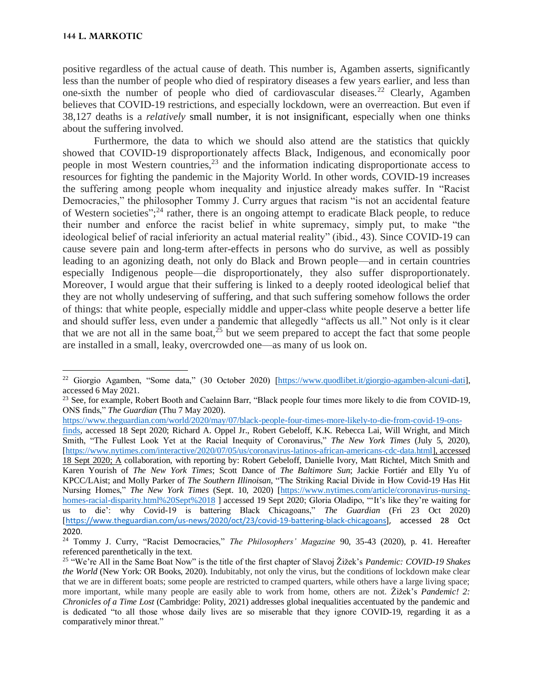positive regardless of the actual cause of death. This number is, Agamben asserts, significantly less than the number of people who died of respiratory diseases a few years earlier, and less than one-sixth the number of people who died of cardiovascular diseases.<sup>22</sup> Clearly, Agamben believes that COVID-19 restrictions, and especially lockdown, were an overreaction. But even if 38,127 deaths is a *relatively* small number, it is not insignificant, especially when one thinks about the suffering involved.

Furthermore, the data to which we should also attend are the statistics that quickly showed that COVID-19 disproportionately affects Black, Indigenous, and economically poor people in most Western countries, $^{23}$  and the information indicating disproportionate access to resources for fighting the pandemic in the Majority World. In other words, COVID-19 increases the suffering among people whom inequality and injustice already makes suffer. In "Racist Democracies," the philosopher Tommy J. Curry argues that racism "is not an accidental feature of Western societies";<sup>24</sup> rather, there is an ongoing attempt to eradicate Black people, to reduce their number and enforce the racist belief in white supremacy, simply put, to make "the ideological belief of racial inferiority an actual material reality" (ibid., 43). Since COVID-19 can cause severe pain and long-term after-effects in persons who do survive, as well as possibly leading to an agonizing death, not only do Black and Brown people—and in certain countries especially Indigenous people—die disproportionately, they also suffer disproportionately. Moreover, I would argue that their suffering is linked to a deeply rooted ideological belief that they are not wholly undeserving of suffering, and that such suffering somehow follows the order of things: that white people, especially middle and upper-class white people deserve a better life and should suffer less, even under a pandemic that allegedly "affects us all." Not only is it clear that we are not all in the same boat,  $2^5$  but we seem prepared to accept the fact that some people are installed in a small, leaky, overcrowded one—as many of us look on.

[https://www.theguardian.com/world/2020/may/07/black-people-four-times-more-likely-to-die-from-covid-19-ons-](https://www.theguardian.com/world/2020/may/07/black-people-four-times-more-likely-to-die-from-covid-19-ons-finds)

<sup>&</sup>lt;sup>22</sup> Giorgio Agamben, "Some data," (30 October 2020) [\[https://www.quodlibet.it/giorgio-agamben-alcuni-dati\]](https://www.quodlibet.it/giorgio-agamben-alcuni-dati), accessed 6 May 2021.

<sup>23</sup> See, for example, Robert Booth and Caelainn Barr, "Black people four times more likely to die from COVID-19, ONS finds," *The Guardian* (Thu 7 May 2020).

[finds,](https://www.theguardian.com/world/2020/may/07/black-people-four-times-more-likely-to-die-from-covid-19-ons-finds) accessed 18 Sept 2020; Richard A. Oppel Jr., Robert Gebeloff, K.K. Rebecca Lai, Will Wright, and Mitch Smith, "The Fullest Look Yet at the Racial Inequity of Coronavirus," *The New York Times* (July 5, 2020), [\[https://www.nytimes.com/interactive/2020/07/05/us/coronavirus-latinos-african-americans-cdc-data.html\]](https://www.nytimes.com/interactive/2020/07/05/us/coronavirus-latinos-african-americans-cdc-data.html), accessed 18 Sept 2020; A collaboration, with reporting by: Robert Gebeloff, Danielle Ivory, Matt Richtel, Mitch Smith and Karen Yourish of *The New York Times*; Scott Dance of *The Baltimore Sun*; Jackie Fortiér and Elly Yu of KPCC/LAist; and Molly Parker of *The Southern Illinoisan*, "The Striking Racial Divide in How Covid-19 Has Hit Nursing Homes," *The New York Times* (Sept. 10, 2020) [\[https://www.nytimes.com/article/coronavirus-nursing](https://www.nytimes.com/article/coronavirus-nursing-homes-racial-disparity.html%20Sept%2018)[homes-racial-disparity.html%20Sept%2018](https://www.nytimes.com/article/coronavirus-nursing-homes-racial-disparity.html%20Sept%2018) ] accessed 19 Sept 2020; Gloria Oladipo, "'It's like they're waiting for us to die': why Covid-19 is battering Black Chicagoans," *The Guardian* (Fri 23 Oct 2020) [[https://www.theguardian.com/us-news/2020/oct/23/covid-19-battering-black-chicagoans\]](https://www.theguardian.com/us-news/2020/oct/23/covid-19-battering-black-chicagoans), accessed 28 Oct 2020.

<sup>24</sup> Tommy J. Curry, "Racist Democracies," *The Philosophers' Magazine* 90, 35-43 (2020), p. 41. Hereafter referenced parenthetically in the text.

<sup>25</sup> "We're All in the Same Boat Now" is the title of the first chapter of Slavoj Žižek's *Pandemic: COVID-19 Shakes the World* (New York: OR Books, 2020). Indubitably, not only the virus, but the conditions of lockdown make clear that we are in different boats; some people are restricted to cramped quarters, while others have a large living space; more important, while many people are easily able to work from home, others are not. Žižek's *Pandemic! 2: Chronicles of a Time Lost* (Cambridge: Polity, 2021) addresses global inequalities accentuated by the pandemic and is dedicated "to all those whose daily lives are so miserable that they ignore COVID-19, regarding it as a comparatively minor threat."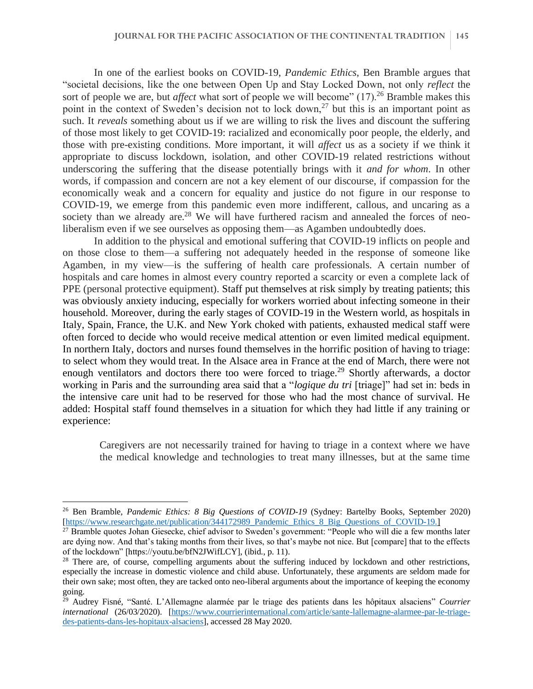In one of the earliest books on COVID-19, *Pandemic Ethics*, Ben Bramble argues that "societal decisions, like the one between Open Up and Stay Locked Down, not only *reflect* the sort of people we are, but *affect* what sort of people we will become" (17).<sup>26</sup> Bramble makes this point in the context of Sweden's decision not to lock down,<sup>27</sup> but this is an important point as such. It *reveals* something about us if we are willing to risk the lives and discount the suffering of those most likely to get COVID-19: racialized and economically poor people, the elderly, and those with pre-existing conditions. More important, it will *affect* us as a society if we think it appropriate to discuss lockdown, isolation, and other COVID-19 related restrictions without underscoring the suffering that the disease potentially brings with it *and for whom*. In other words, if compassion and concern are not a key element of our discourse, if compassion for the economically weak and a concern for equality and justice do not figure in our response to COVID-19, we emerge from this pandemic even more indifferent, callous, and uncaring as a society than we already are.<sup>28</sup> We will have furthered racism and annealed the forces of neoliberalism even if we see ourselves as opposing them—as Agamben undoubtedly does.

In addition to the physical and emotional suffering that COVID-19 inflicts on people and on those close to them—a suffering not adequately heeded in the response of someone like Agamben, in my view—is the suffering of health care professionals. A certain number of hospitals and care homes in almost every country reported a scarcity or even a complete lack of PPE (personal protective equipment). Staff put themselves at risk simply by treating patients; this was obviously anxiety inducing, especially for workers worried about infecting someone in their household. Moreover, during the early stages of COVID-19 in the Western world, as hospitals in Italy, Spain, France, the U.K. and New York choked with patients, exhausted medical staff were often forced to decide who would receive medical attention or even limited medical equipment. In northern Italy, doctors and nurses found themselves in the horrific position of having to triage: to select whom they would treat. In the Alsace area in France at the end of March, there were not enough ventilators and doctors there too were forced to triage.<sup>29</sup> Shortly afterwards, a doctor working in Paris and the surrounding area said that a "*logique du tri* [triage]" had set in: beds in the intensive care unit had to be reserved for those who had the most chance of survival. He added: Hospital staff found themselves in a situation for which they had little if any training or experience:

Caregivers are not necessarily trained for having to triage in a context where we have the medical knowledge and technologies to treat many illnesses, but at the same time

<sup>26</sup> Ben Bramble, *Pandemic Ethics: 8 Big Questions of COVID-19* (Sydney: Bartelby Books, September 2020) [\[https://www.researchgate.net/publication/344172989\\_Pandemic\\_Ethics\\_8\\_Big\\_Questions\\_of\\_COVID-19.](https://www.researchgate.net/publication/344172989_Pandemic_Ethics_8_Big_Questions_of_COVID-19)]

<sup>&</sup>lt;sup>27</sup> Bramble quotes Johan Giesecke, chief advisor to Sweden's government: "People who will die a few months later are dying now. And that's taking months from their lives, so that's maybe not nice. But [compare] that to the effects of the lockdown" [https://youtu.be/bfN2JWifLCY], (ibid., p. 11).

<sup>&</sup>lt;sup>28</sup> There are, of course, compelling arguments about the suffering induced by lockdown and other restrictions, especially the increase in domestic violence and child abuse. Unfortunately, these arguments are seldom made for their own sake; most often, they are tacked onto neo-liberal arguments about the importance of keeping the economy going.

<sup>29</sup> Audrey Fisné, "Santé. L'Allemagne alarmée par le triage des patients dans les hôpitaux alsaciens" *Courrier international* (26/03/2020). [\[https://www.courrierinternational.com/article/sante-lallemagne-alarmee-par-le-triage](https://www.courrierinternational.com/article/sante-lallemagne-alarmee-par-le-triage-des-patients-dans-les-hopitaux-alsaciens)[des-patients-dans-les-hopitaux-alsaciens\]](https://www.courrierinternational.com/article/sante-lallemagne-alarmee-par-le-triage-des-patients-dans-les-hopitaux-alsaciens), accessed 28 May 2020.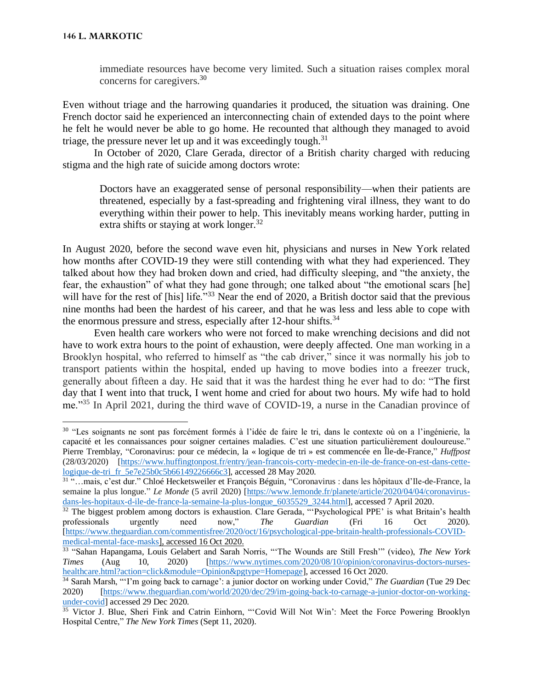immediate resources have become very limited. Such a situation raises complex moral concerns for caregivers.<sup>30</sup>

Even without triage and the harrowing quandaries it produced, the situation was draining. One French doctor said he experienced an interconnecting chain of extended days to the point where he felt he would never be able to go home. He recounted that although they managed to avoid triage, the pressure never let up and it was exceedingly tough.<sup>31</sup>

In October of 2020, Clare Gerada, director of a British charity charged with reducing stigma and the high rate of suicide among doctors wrote:

Doctors have an exaggerated sense of personal responsibility—when their patients are threatened, especially by a fast-spreading and frightening viral illness, they want to do everything within their power to help. This inevitably means working harder, putting in extra shifts or staying at work longer. $32$ 

In August 2020, before the second wave even hit, physicians and nurses in New York related how months after COVID-19 they were still contending with what they had experienced. They talked about how they had broken down and cried, had difficulty sleeping, and "the anxiety, the fear, the exhaustion" of what they had gone through; one talked about "the emotional scars [he] will have for the rest of [his] life."<sup>33</sup> Near the end of 2020, a British doctor said that the previous nine months had been the hardest of his career, and that he was less and less able to cope with the enormous pressure and stress, especially after 12-hour shifts.<sup>34</sup>

Even health care workers who were not forced to make wrenching decisions and did not have to work extra hours to the point of exhaustion, were deeply affected. One man working in a Brooklyn hospital, who referred to himself as "the cab driver," since it was normally his job to transport patients within the hospital, ended up having to move bodies into a freezer truck, generally about fifteen a day. He said that it was the hardest thing he ever had to do: "The first day that I went into that truck, I went home and cried for about two hours. My wife had to hold me."<sup>35</sup> In April 2021, during the third wave of COVID-19, a nurse in the Canadian province of

<sup>&</sup>lt;sup>30</sup> "Les soignants ne sont pas forcément formés à l'idée de faire le tri, dans le contexte où on a l'ingénierie, la capacité et les connaissances pour soigner certaines maladies. C'est une situation particulièrement douloureuse." Pierre Tremblay, "Coronavirus: pour ce médecin, la « logique de tri » est commencée en Île-de-France," *Huffpost* (28/03/2020) [\[https://www.huffingtonpost.fr/entry/jean-francois-corty-medecin-en-ile-de-france-on-est-dans-cette](https://www.huffingtonpost.fr/entry/jean-francois-corty-medecin-en-ile-de-france-on-est-dans-cette-logique-de-tri_fr_5e7e25b0c5b66149226666c3)[logique-de-tri\\_fr\\_5e7e25b0c5b66149226666c3\]](https://www.huffingtonpost.fr/entry/jean-francois-corty-medecin-en-ile-de-france-on-est-dans-cette-logique-de-tri_fr_5e7e25b0c5b66149226666c3), accessed 28 May 2020.

<sup>31</sup> "…mais, c'est dur." Chloé Hecketsweiler et François Béguin, "Coronavirus : dans les hôpitaux d'Ile-de-France, la semaine la plus longue." *Le Monde* (5 avril 2020) [\[https://www.lemonde.fr/planete/article/2020/04/04/coronavirus](https://www.lemonde.fr/planete/article/2020/04/04/coronavirus-dans-les-hopitaux-d-ile-de-france-la-semaine-la-plus-longue_6035529_3244.html)[dans-les-hopitaux-d-ile-de-france-la-semaine-la-plus-longue\\_6035529\\_3244.html\]](https://www.lemonde.fr/planete/article/2020/04/04/coronavirus-dans-les-hopitaux-d-ile-de-france-la-semaine-la-plus-longue_6035529_3244.html), accessed 7 April 2020.

<sup>&</sup>lt;sup>32</sup> The biggest problem among doctors is exhaustion. Clare Gerada, "'Psychological PPE' is what Britain's health professionals urgently need now," *The Guardian* (Fri 16 Oct 2020). [\[https://www.theguardian.com/commentisfree/2020/oct/16/psychological-ppe-britain-health-professionals-COVID](https://www.theguardian.com/commentisfree/2020/oct/16/psychological-ppe-britain-health-professionals-covid-medical-mental-face-masks)[medical-mental-face-masks\]](https://www.theguardian.com/commentisfree/2020/oct/16/psychological-ppe-britain-health-professionals-covid-medical-mental-face-masks), accessed 16 Oct 2020.

<sup>33</sup> "Sahan Hapangama, Louis Gelabert and Sarah Norris, "'The Wounds are Still Fresh'" (video), *The New York Times* (Aug 10, 2020) [\[https://www.nytimes.com/2020/08/10/opinion/coronavirus-doctors-nurses](https://www.nytimes.com/2020/08/10/opinion/coronavirus-doctors-nurses-healthcare.html?action=click&module=Opinion&pgtype=Homepage)[healthcare.html?action=click&module=Opinion&pgtype=Homepage\]](https://www.nytimes.com/2020/08/10/opinion/coronavirus-doctors-nurses-healthcare.html?action=click&module=Opinion&pgtype=Homepage), accessed 16 Oct 2020.

<sup>34</sup> Sarah Marsh, "'I'm going back to carnage': a junior doctor on working under Covid," *The Guardian* (Tue 29 Dec 2020) [\[https://www.theguardian.com/world/2020/dec/29/im-going-back-to-carnage-a-junior-doctor-on-working](https://www.theguardian.com/world/2020/dec/29/im-going-back-to-carnage-a-junior-doctor-on-working-under-)[under-c](https://www.theguardian.com/world/2020/dec/29/im-going-back-to-carnage-a-junior-doctor-on-working-under-)ovid] accessed 29 Dec 2020.

<sup>&</sup>lt;sup>35</sup> Victor J. Blue, Sheri Fink and Catrin Einhorn, "'Covid Will Not Win': Meet the Force Powering Brooklyn Hospital Centre," *The New York Times* (Sept 11, 2020).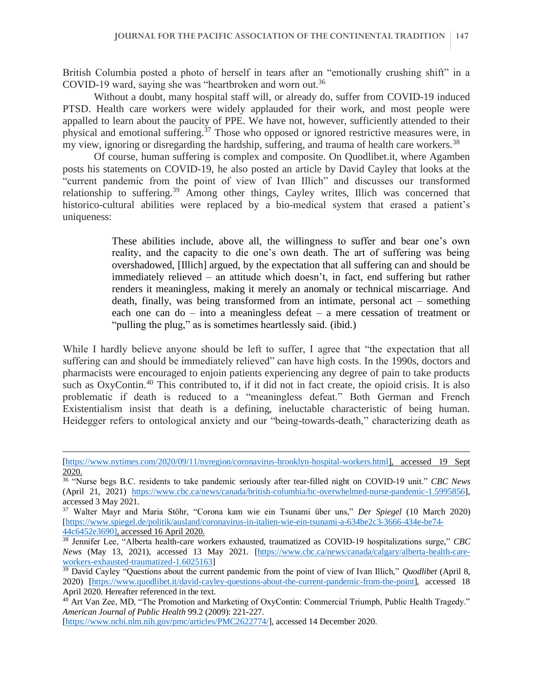British Columbia posted a photo of herself in tears after an "emotionally crushing shift" in a COVID-19 ward, saying she was "heartbroken and worn out.<sup>36</sup>

Without a doubt, many hospital staff will, or already do, suffer from COVID-19 induced PTSD. Health care workers were widely applauded for their work, and most people were appalled to learn about the paucity of PPE. We have not, however, sufficiently attended to their physical and emotional suffering.<sup>37</sup> Those who opposed or ignored restrictive measures were, in my view, ignoring or disregarding the hardship, suffering, and trauma of health care workers.<sup>38</sup>

Of course, human suffering is complex and composite. On Quodlibet.it, where Agamben posts his statements on COVID-19, he also posted an article by David Cayley that looks at the "current pandemic from the point of view of Ivan Illich" and discusses our transformed relationship to suffering.<sup>39</sup> Among other things, Cayley writes, Illich was concerned that historico-cultural abilities were replaced by a bio-medical system that erased a patient's uniqueness:

> These abilities include, above all, the willingness to suffer and bear one's own reality, and the capacity to die one's own death. The art of suffering was being overshadowed, [Illich] argued, by the expectation that all suffering can and should be immediately relieved – an attitude which doesn't, in fact, end suffering but rather renders it meaningless, making it merely an anomaly or technical miscarriage. And death, finally, was being transformed from an intimate, personal act – something each one can do – into a meaningless defeat – a mere cessation of treatment or "pulling the plug," as is sometimes heartlessly said. (ibid.)

While I hardly believe anyone should be left to suffer, I agree that "the expectation that all suffering can and should be immediately relieved" can have high costs. In the 1990s, doctors and pharmacists were encouraged to enjoin patients experiencing any degree of pain to take products such as OxyContin.<sup>40</sup> This contributed to, if it did not in fact create, the opioid crisis. It is also problematic if death is reduced to a "meaningless defeat." Both German and French Existentialism insist that death is a defining, ineluctable characteristic of being human. Heidegger refers to ontological anxiety and our "being-towards-death," characterizing death as

[<sup>\[</sup>https://www.nytimes.com/2020/09/11/nyregion/coronavirus-brooklyn-hospital-workers.html\]](https://www.nytimes.com/2020/09/11/nyregion/coronavirus-brooklyn-hospital-workers.html), accessed 19 Sept 2020.

<sup>36</sup> "Nurse begs B.C. residents to take pandemic seriously after tear-filled night on COVID-19 unit." *CBC News* (April 21, 2021) [https://www.cbc.ca/news/canada/british-columbia/bc-overwhelmed-nurse-pandemic-1.5995856\]](https://www.cbc.ca/news/canada/british-columbia/bc-overwhelmed-nurse-pandemic-1.5995856), accessed 3 May 2021.

<sup>37</sup> Walter Mayr and Maria Stöhr, "Corona kam wie ein Tsunami über uns," *Der Spiegel* (10 March 2020) [\[https://www.spiegel.de/politik/ausland/coronavirus-in-italien-wie-ein-tsunami-a-634be2c3-3666-434e-be74-](https://www.spiegel.de/politik/ausland/coronavirus-in-italien-wie-ein-tsunami-a-634be2c3-3666-434e-be74-44c6452e3690) [44c6452e3690\]](https://www.spiegel.de/politik/ausland/coronavirus-in-italien-wie-ein-tsunami-a-634be2c3-3666-434e-be74-44c6452e3690), accessed 16 April 2020.

<sup>38</sup> Jennifer Lee, "Alberta health-care workers exhausted, traumatized as COVID-19 hospitalizations surge," *CBC News* (May 13, 2021), accessed 13 May 2021. [\[https://www.cbc.ca/news/canada/calgary/alberta-health-care](https://www.cbc.ca/news/canada/calgary/alberta-health-care-workers-exhausted-traumatized-1.6025163)[workers-exhausted-traumatized-1.6025163\]](https://www.cbc.ca/news/canada/calgary/alberta-health-care-workers-exhausted-traumatized-1.6025163)

<sup>&</sup>lt;sup>39</sup> David Cayley "Questions about the current pandemic from the point of view of Ivan Illich," *Quodlibet* (April 8, 2020) [\[https://www.quodlibet.it/david-cayley-questions-about-the-current-pandemic-from-the-point\]](https://www.quodlibet.it/david-cayley-questions-about-the-current-pandemic-from-the-point), accessed 18 April 2020. Hereafter referenced in the text.

<sup>&</sup>lt;sup>40</sup> Art Van Zee, MD, "The Promotion and Marketing of OxyContin: Commercial Triumph, Public Health Tragedy." *American Journal of Public Health* 99.2 (2009): 221-227.

[<sup>\[</sup>https://www.ncbi.nlm.nih.gov/pmc/articles/PMC2622774/\]](https://www.ncbi.nlm.nih.gov/pmc/articles/PMC2622774/), accessed 14 December 2020.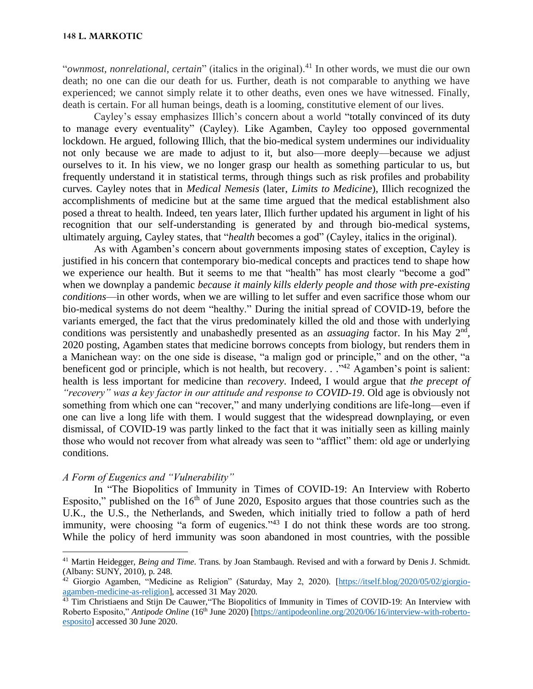"*ownmost, nonrelational, certain*" (italics in the original).<sup>41</sup> In other words, we must die our own death; no one can die our death for us. Further, death is not comparable to anything we have experienced; we cannot simply relate it to other deaths, even ones we have witnessed. Finally, death is certain. For all human beings, death is a looming, constitutive element of our lives.

Cayley's essay emphasizes Illich's concern about a world "totally convinced of its duty to manage every eventuality" (Cayley). Like Agamben, Cayley too opposed governmental lockdown. He argued, following Illich, that the bio-medical system undermines our individuality not only because we are made to adjust to it, but also—more deeply—because we adjust ourselves to it. In his view, we no longer grasp our health as something particular to us, but frequently understand it in statistical terms, through things such as risk profiles and probability curves. Cayley notes that in *Medical Nemesis* (later, *Limits to Medicine*), Illich recognized the accomplishments of medicine but at the same time argued that the medical establishment also posed a threat to health. Indeed, ten years later, Illich further updated his argument in light of his recognition that our self-understanding is generated by and through bio-medical systems, ultimately arguing, Cayley states, that "*health* becomes a god" (Cayley, italics in the original).

As with Agamben's concern about governments imposing states of exception, Cayley is justified in his concern that contemporary bio-medical concepts and practices tend to shape how we experience our health. But it seems to me that "health" has most clearly "become a god" when we downplay a pandemic *because it mainly kills elderly people and those with pre-existing conditions*—in other words, when we are willing to let suffer and even sacrifice those whom our bio-medical systems do not deem "healthy." During the initial spread of COVID-19, before the variants emerged, the fact that the virus predominately killed the old and those with underlying conditions was persistently and unabashedly presented as an *assuaging* factor. In his May 2<sup>nd</sup>, 2020 posting, Agamben states that medicine borrows concepts from biology, but renders them in a Manichean way: on the one side is disease, "a malign god or principle," and on the other, "a beneficent god or principle, which is not health, but recovery.  $\cdot$  ...  $\cdot$ <sup>42</sup> Agamben's point is salient: health is less important for medicine than *recovery*. Indeed, I would argue that *the precept of "recovery" was a key factor in our attitude and response to COVID-19*. Old age is obviously not something from which one can "recover," and many underlying conditions are life-long—even if one can live a long life with them. I would suggest that the widespread downplaying, or even dismissal, of COVID-19 was partly linked to the fact that it was initially seen as killing mainly those who would not recover from what already was seen to "afflict" them: old age or underlying conditions.

# *A Form of Eugenics and "Vulnerability"*

In "The Biopolitics of Immunity in Times of COVID-19: An Interview with Roberto Esposito," published on the  $16<sup>th</sup>$  of June 2020, Esposito argues that those countries such as the U.K., the U.S., the Netherlands, and Sweden, which initially tried to follow a path of herd immunity, were choosing "a form of eugenics."<sup>43</sup> I do not think these words are too strong. While the policy of herd immunity was soon abandoned in most countries, with the possible

<sup>41</sup> Martin Heidegger, *Being and Time*. Trans. by Joan Stambaugh. Revised and with a forward by Denis J. Schmidt. (Albany: SUNY, 2010), p. 248.

<sup>&</sup>lt;sup>42</sup> Giorgio Agamben, "Medicine as Religion" (Saturday, May 2, 2020). [\[https://itself.blog/2020/05/02/giorgio](https://itself.blog/2020/05/02/giorgio-agamben-medicine-as-religion)[agamben-medicine-as-religion\]](https://itself.blog/2020/05/02/giorgio-agamben-medicine-as-religion), accessed 31 May 2020.

<sup>&</sup>lt;sup>43</sup> Tim Christiaens and Stijn De Cauwer, "The Biopolitics of Immunity in Times of COVID-19: An Interview with Roberto Esposito," *Antipode Online* (16th June 2020) [\[https://antipodeonline.org/2020/06/16/interview-with-roberto](https://antipodeonline.org/2020/06/16/interview-with-roberto-esposito)[esposito\]](https://antipodeonline.org/2020/06/16/interview-with-roberto-esposito) accessed 30 June 2020.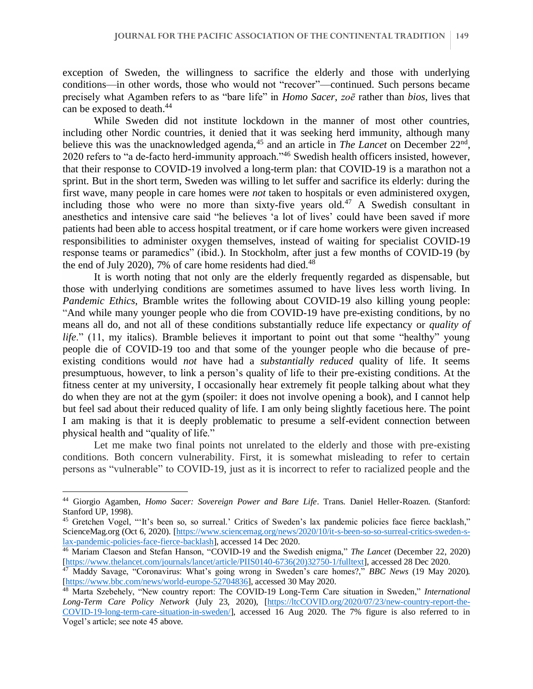exception of Sweden, the willingness to sacrifice the elderly and those with underlying conditions—in other words, those who would not "recover"—continued. Such persons became precisely what Agamben refers to as "bare life" in *Homo Sacer*, *zoē* rather than *bios*, lives that can be exposed to death.<sup>44</sup>

While Sweden did not institute lockdown in the manner of most other countries, including other Nordic countries, it denied that it was seeking herd immunity, although many believe this was the unacknowledged agenda,<sup>45</sup> and an article in *The Lancet* on December 22<sup>nd</sup>, 2020 refers to "a de-facto herd-immunity approach."<sup>46</sup> Swedish health officers insisted, however, that their response to COVID-19 involved a long-term plan: that COVID-19 is a marathon not a sprint. But in the short term, Sweden was willing to let suffer and sacrifice its elderly: during the first wave, many people in care homes were *not* taken to hospitals or even administered oxygen, including those who were no more than sixty-five years old.<sup>47</sup> A Swedish consultant in anesthetics and intensive care said "he believes 'a lot of lives' could have been saved if more patients had been able to access hospital treatment, or if care home workers were given increased responsibilities to administer oxygen themselves, instead of waiting for specialist COVID-19 response teams or paramedics" (ibid.). In Stockholm, after just a few months of COVID-19 (by the end of July 2020), 7% of care home residents had died. $48$ 

It is worth noting that not only are the elderly frequently regarded as dispensable, but those with underlying conditions are sometimes assumed to have lives less worth living. In *Pandemic Ethics*, Bramble writes the following about COVID-19 also killing young people: "And while many younger people who die from COVID-19 have pre-existing conditions, by no means all do, and not all of these conditions substantially reduce life expectancy or *quality of life.*" (11, my italics). Bramble believes it important to point out that some "healthy" young people die of COVID-19 too and that some of the younger people who die because of preexisting conditions would *not* have had a *substantially reduced* quality of life. It seems presumptuous, however, to link a person's quality of life to their pre-existing conditions. At the fitness center at my university, I occasionally hear extremely fit people talking about what they do when they are not at the gym (spoiler: it does not involve opening a book), and I cannot help but feel sad about their reduced quality of life. I am only being slightly facetious here. The point I am making is that it is deeply problematic to presume a self-evident connection between physical health and "quality of life."

Let me make two final points not unrelated to the elderly and those with pre-existing conditions. Both concern vulnerability. First, it is somewhat misleading to refer to certain persons as "vulnerable" to COVID-19, just as it is incorrect to refer to racialized people and the

<sup>44</sup> Giorgio Agamben, *Homo Sacer: Sovereign Power and Bare Life*. Trans. Daniel Heller-Roazen. (Stanford: Stanford UP, 1998).

<sup>&</sup>lt;sup>45</sup> Gretchen Vogel, "'It's been so, so surreal.' Critics of Sweden's lax pandemic policies face fierce backlash," ScienceMag.org (Oct 6, 2020). [\[https://www.sciencemag.org/news/2020/10/it-s-been-so-so-surreal-critics-sweden-s](https://www.sciencemag.org/news/2020/10/it-s-been-so-so-surreal-critics-sweden-s-lax-pandemic-policies-face-fierce-backlash)[lax-pandemic-policies-face-fierce-backlash\]](https://www.sciencemag.org/news/2020/10/it-s-been-so-so-surreal-critics-sweden-s-lax-pandemic-policies-face-fierce-backlash), accessed 14 Dec 2020.

<sup>46</sup> Mariam Claeson and Stefan Hanson, "COVID-19 and the Swedish enigma," *The Lancet* (December 22, 2020) [\[https://www.thelancet.com/journals/lancet/article/PIIS0140-6736\(20\)32750-1/fulltext\]](https://www.thelancet.com/journals/lancet/article/PIIS0140-6736(20)32750-1/fulltext), accessed 28 Dec 2020.

<sup>47</sup> Maddy Savage, "Coronavirus: What's going wrong in Sweden's care homes?," *BBC News* (19 May 2020). [\[https://www.bbc.com/news/world-europe-52704836\]](https://www.bbc.com/news/world-europe-52704836), accessed 30 May 2020.

<sup>48</sup> Marta Szebehely, "New country report: The COVID-19 Long-Term Care situation in Sweden," *International Long-Term Care Policy Network* (July 23, 2020), [\[https://ltcCOVID.org/2020/07/23/new-country-report-the-](https://ltccovid.org/2020/07/23/new-country-report-the-Covid-19-long-term-care-situation-in-sweden/)[COVID-19-long-term-care-situation-in-sweden/\]](https://ltccovid.org/2020/07/23/new-country-report-the-Covid-19-long-term-care-situation-in-sweden/), accessed 16 Aug 2020. The 7% figure is also referred to in Vogel's article; see note 45 above.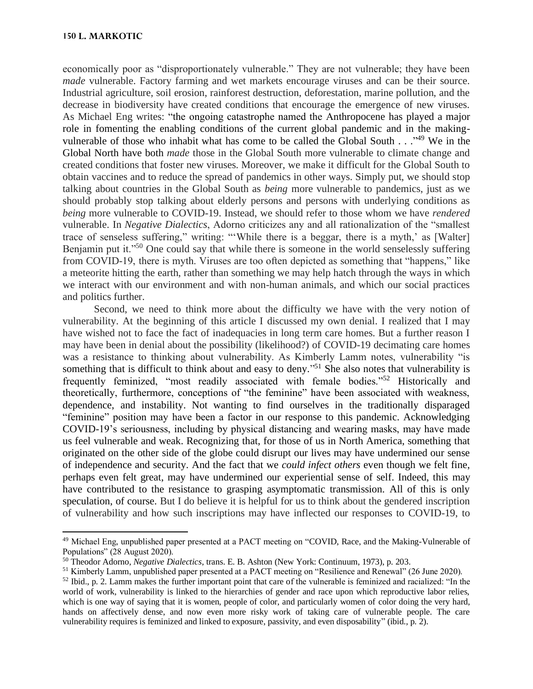#### **150 L. MARKOTIC**

economically poor as "disproportionately vulnerable." They are not vulnerable; they have been *made* vulnerable. Factory farming and wet markets encourage viruses and can be their source. Industrial agriculture, soil erosion, rainforest destruction, deforestation, marine pollution, and the decrease in biodiversity have created conditions that encourage the emergence of new viruses. As Michael Eng writes: "the ongoing catastrophe named the Anthropocene has played a major role in fomenting the enabling conditions of the current global pandemic and in the makingvulnerable of those who inhabit what has come to be called the Global South . . .<sup>49</sup> We in the Global North have both *made* those in the Global South more vulnerable to climate change and created conditions that foster new viruses. Moreover, we make it difficult for the Global South to obtain vaccines and to reduce the spread of pandemics in other ways. Simply put, we should stop talking about countries in the Global South as *being* more vulnerable to pandemics, just as we should probably stop talking about elderly persons and persons with underlying conditions as *being* more vulnerable to COVID-19. Instead, we should refer to those whom we have *rendered*  vulnerable. In *Negative Dialectics*, Adorno criticizes any and all rationalization of the "smallest trace of senseless suffering," writing: "'While there is a beggar, there is a myth,' as [Walter] Benjamin put it."<sup>50</sup> One could say that while there is someone in the world senselessly suffering from COVID-19, there is myth. Viruses are too often depicted as something that "happens," like a meteorite hitting the earth, rather than something we may help hatch through the ways in which we interact with our environment and with non-human animals, and which our social practices and politics further.

Second, we need to think more about the difficulty we have with the very notion of vulnerability. At the beginning of this article I discussed my own denial. I realized that I may have wished not to face the fact of inadequacies in long term care homes. But a further reason I may have been in denial about the possibility (likelihood?) of COVID-19 decimating care homes was a resistance to thinking about vulnerability. As Kimberly Lamm notes, vulnerability "is something that is difficult to think about and easy to deny."<sup>51</sup> She also notes that vulnerability is frequently feminized, "most readily associated with female bodies."<sup>52</sup> Historically and theoretically, furthermore, conceptions of "the feminine" have been associated with weakness, dependence, and instability. Not wanting to find ourselves in the traditionally disparaged "feminine" position may have been a factor in our response to this pandemic. Acknowledging COVID-19's seriousness, including by physical distancing and wearing masks, may have made us feel vulnerable and weak. Recognizing that, for those of us in North America, something that originated on the other side of the globe could disrupt our lives may have undermined our sense of independence and security. And the fact that we *could infect others* even though we felt fine, perhaps even felt great, may have undermined our experiential sense of self. Indeed, this may have contributed to the resistance to grasping asymptomatic transmission. All of this is only speculation, of course. But I do believe it is helpful for us to think about the gendered inscription of vulnerability and how such inscriptions may have inflected our responses to COVID-19, to

<sup>49</sup> Michael Eng, unpublished paper presented at a PACT meeting on "COVID, Race, and the Making-Vulnerable of Populations" (28 August 2020).

<sup>50</sup> Theodor Adorno, *Negative Dialectics*, trans. E. B. Ashton (New York: Continuum, 1973), p. 203.

<sup>51</sup> Kimberly Lamm, unpublished paper presented at a PACT meeting on "Resilience and Renewal" (26 June 2020).  $52$  Ibid., p. 2. Lamm makes the further important point that care of the vulnerable is feminized and racialized: "In the world of work, vulnerability is linked to the hierarchies of gender and race upon which reproductive labor relies, which is one way of saying that it is women, people of color, and particularly women of color doing the very hard, hands on affectively dense, and now even more risky work of taking care of vulnerable people. The care vulnerability requires is feminized and linked to exposure, passivity, and even disposability" (ibid., p. 2).